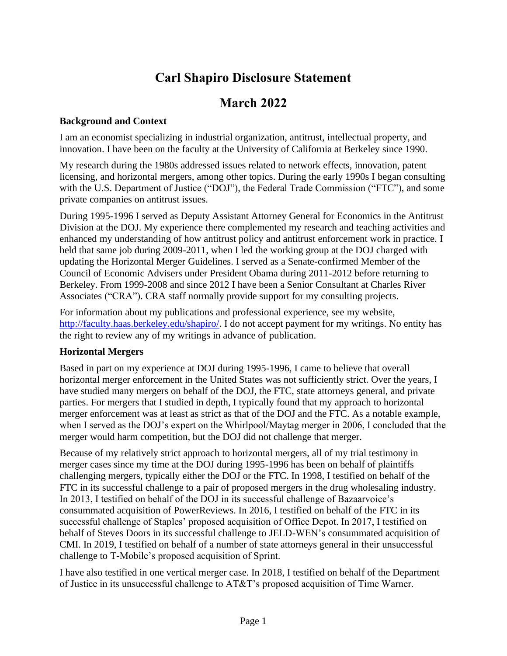# **Carl Shapiro Disclosure Statement**

# **March 2022**

#### **Background and Context**

I am an economist specializing in industrial organization, antitrust, intellectual property, and innovation. I have been on the faculty at the University of California at Berkeley since 1990.

My research during the 1980s addressed issues related to network effects, innovation, patent licensing, and horizontal mergers, among other topics. During the early 1990s I began consulting with the U.S. Department of Justice ("DOJ"), the Federal Trade Commission ("FTC"), and some private companies on antitrust issues.

During 1995-1996 I served as Deputy Assistant Attorney General for Economics in the Antitrust Division at the DOJ. My experience there complemented my research and teaching activities and enhanced my understanding of how antitrust policy and antitrust enforcement work in practice. I held that same job during 2009-2011, when I led the working group at the DOJ charged with updating the Horizontal Merger Guidelines. I served as a Senate-confirmed Member of the Council of Economic Advisers under President Obama during 2011-2012 before returning to Berkeley. From 1999-2008 and since 2012 I have been a Senior Consultant at Charles River Associates ("CRA"). CRA staff normally provide support for my consulting projects.

For information about my publications and professional experience, see my website, [http://faculty.haas.berkeley.edu/shapiro/.](http://faculty.haas.berkeley.edu/shapiro/) I do not accept payment for my writings. No entity has the right to review any of my writings in advance of publication.

#### **Horizontal Mergers**

Based in part on my experience at DOJ during 1995-1996, I came to believe that overall horizontal merger enforcement in the United States was not sufficiently strict. Over the years, I have studied many mergers on behalf of the DOJ, the FTC, state attorneys general, and private parties. For mergers that I studied in depth, I typically found that my approach to horizontal merger enforcement was at least as strict as that of the DOJ and the FTC. As a notable example, when I served as the DOJ's expert on the Whirlpool/Maytag merger in 2006, I concluded that the merger would harm competition, but the DOJ did not challenge that merger.

Because of my relatively strict approach to horizontal mergers, all of my trial testimony in merger cases since my time at the DOJ during 1995-1996 has been on behalf of plaintiffs challenging mergers, typically either the DOJ or the FTC. In 1998, I testified on behalf of the FTC in its successful challenge to a pair of proposed mergers in the drug wholesaling industry. In 2013, I testified on behalf of the DOJ in its successful challenge of Bazaarvoice's consummated acquisition of PowerReviews. In 2016, I testified on behalf of the FTC in its successful challenge of Staples' proposed acquisition of Office Depot. In 2017, I testified on behalf of Steves Doors in its successful challenge to JELD-WEN's consummated acquisition of CMI. In 2019, I testified on behalf of a number of state attorneys general in their unsuccessful challenge to T-Mobile's proposed acquisition of Sprint.

I have also testified in one vertical merger case. In 2018, I testified on behalf of the Department of Justice in its unsuccessful challenge to AT&T's proposed acquisition of Time Warner.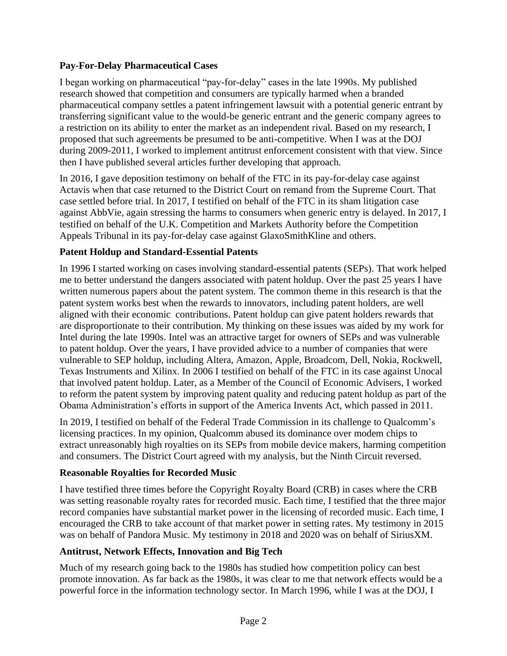# **Pay-For-Delay Pharmaceutical Cases**

I began working on pharmaceutical "pay-for-delay" cases in the late 1990s. My published research showed that competition and consumers are typically harmed when a branded pharmaceutical company settles a patent infringement lawsuit with a potential generic entrant by transferring significant value to the would-be generic entrant and the generic company agrees to a restriction on its ability to enter the market as an independent rival. Based on my research, I proposed that such agreements be presumed to be anti-competitive. When I was at the DOJ during 2009-2011, I worked to implement antitrust enforcement consistent with that view. Since then I have published several articles further developing that approach.

In 2016, I gave deposition testimony on behalf of the FTC in its pay-for-delay case against Actavis when that case returned to the District Court on remand from the Supreme Court. That case settled before trial. In 2017, I testified on behalf of the FTC in its sham litigation case against AbbVie, again stressing the harms to consumers when generic entry is delayed. In 2017, I testified on behalf of the U.K. Competition and Markets Authority before the Competition Appeals Tribunal in its pay-for-delay case against GlaxoSmithKline and others.

# **Patent Holdup and Standard-Essential Patents**

In 1996 I started working on cases involving standard-essential patents (SEPs). That work helped me to better understand the dangers associated with patent holdup. Over the past 25 years I have written numerous papers about the patent system. The common theme in this research is that the patent system works best when the rewards to innovators, including patent holders, are well aligned with their economic contributions. Patent holdup can give patent holders rewards that are disproportionate to their contribution. My thinking on these issues was aided by my work for Intel during the late 1990s. Intel was an attractive target for owners of SEPs and was vulnerable to patent holdup. Over the years, I have provided advice to a number of companies that were vulnerable to SEP holdup, including Altera, Amazon, Apple, Broadcom, Dell, Nokia, Rockwell, Texas Instruments and Xilinx. In 2006 I testified on behalf of the FTC in its case against Unocal that involved patent holdup. Later, as a Member of the Council of Economic Advisers, I worked to reform the patent system by improving patent quality and reducing patent holdup as part of the Obama Administration's efforts in support of the America Invents Act, which passed in 2011.

In 2019, I testified on behalf of the Federal Trade Commission in its challenge to Qualcomm's licensing practices. In my opinion, Qualcomm abused its dominance over modem chips to extract unreasonably high royalties on its SEPs from mobile device makers, harming competition and consumers. The District Court agreed with my analysis, but the Ninth Circuit reversed.

#### **Reasonable Royalties for Recorded Music**

I have testified three times before the Copyright Royalty Board (CRB) in cases where the CRB was setting reasonable royalty rates for recorded music. Each time, I testified that the three major record companies have substantial market power in the licensing of recorded music. Each time, I encouraged the CRB to take account of that market power in setting rates. My testimony in 2015 was on behalf of Pandora Music. My testimony in 2018 and 2020 was on behalf of SiriusXM.

#### **Antitrust, Network Effects, Innovation and Big Tech**

Much of my research going back to the 1980s has studied how competition policy can best promote innovation. As far back as the 1980s, it was clear to me that network effects would be a powerful force in the information technology sector. In March 1996, while I was at the DOJ, I